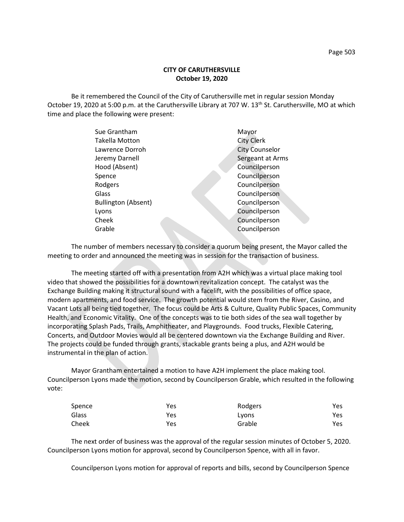Be it remembered the Council of the City of Caruthersville met in regular session Monday October 19, 2020 at 5:00 p.m. at the Caruthersville Library at 707 W. 13<sup>th</sup> St. Caruthersville, MO at which time and place the following were present:

| Sue Grantham               | Mayor                 |
|----------------------------|-----------------------|
| <b>Takella Motton</b>      | <b>City Clerk</b>     |
| Lawrence Dorroh            | <b>City Counselor</b> |
| Jeremy Darnell             | Sergeant at Arms      |
| Hood (Absent)              | Councilperson         |
| Spence                     | Councilperson         |
| Rodgers                    | Councilperson         |
| Glass                      | Councilperson         |
| <b>Bullington (Absent)</b> | Councilperson         |
| Lyons                      | Councilperson         |
| Cheek                      | Councilperson         |
| Grable                     | Councilperson         |
|                            |                       |

The number of members necessary to consider a quorum being present, the Mayor called the meeting to order and announced the meeting was in session for the transaction of business.

The meeting started off with a presentation from A2H which was a virtual place making tool video that showed the possibilities for a downtown revitalization concept. The catalyst was the Exchange Building making it structural sound with a facelift, with the possibilities of office space, modern apartments, and food service. The growth potential would stem from the River, Casino, and Vacant Lots all being tied together. The focus could be Arts & Culture, Quality Public Spaces, Community Health, and Economic Vitality. One of the concepts was to tie both sides of the sea wall together by incorporating Splash Pads, Trails, Amphitheater, and Playgrounds. Food trucks, Flexible Catering, Concerts, and Outdoor Movies would all be centered downtown via the Exchange Building and River. The projects could be funded through grants, stackable grants being a plus, and A2H would be instrumental in the plan of action.

Mayor Grantham entertained a motion to have A2H implement the place making tool. Councilperson Lyons made the motion, second by Councilperson Grable, which resulted in the following vote:

| Spence | Yes | Rodgers | Yes |
|--------|-----|---------|-----|
| Glass  | Yes | Lyons   | Yes |
| Cheek  | Yes | Grable  | Yes |

The next order of business was the approval of the regular session minutes of October 5, 2020. Councilperson Lyons motion for approval, second by Councilperson Spence, with all in favor.

Councilperson Lyons motion for approval of reports and bills, second by Councilperson Spence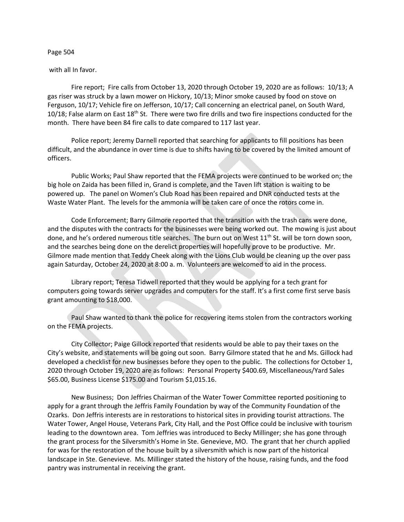## Page 504

## with all In favor.

Fire report; Fire calls from October 13, 2020 through October 19, 2020 are as follows: 10/13; A gas riser was struck by a lawn mower on Hickory, 10/13; Minor smoke caused by food on stove on Ferguson, 10/17; Vehicle fire on Jefferson, 10/17; Call concerning an electrical panel, on South Ward, 10/18; False alarm on East 18<sup>th</sup> St. There were two fire drills and two fire inspections conducted for the month. There have been 84 fire calls to date compared to 117 last year.

Police report; Jeremy Darnell reported that searching for applicants to fill positions has been difficult, and the abundance in over time is due to shifts having to be covered by the limited amount of officers.

Public Works; Paul Shaw reported that the FEMA projects were continued to be worked on; the big hole on Zaida has been filled in, Grand is complete, and the Taven lift station is waiting to be powered up. The panel on Women's Club Road has been repaired and DNR conducted tests at the Waste Water Plant. The levels for the ammonia will be taken care of once the rotors come in.

Code Enforcement; Barry Gilmore reported that the transition with the trash cans were done, and the disputes with the contracts for the businesses were being worked out. The mowing is just about done, and he's ordered numerous title searches. The burn out on West  $11<sup>th</sup>$  St. will be torn down soon, and the searches being done on the derelict properties will hopefully prove to be productive. Mr. Gilmore made mention that Teddy Cheek along with the Lions Club would be cleaning up the over pass again Saturday, October 24, 2020 at 8:00 a. m. Volunteers are welcomed to aid in the process.

Library report; Teresa Tidwell reported that they would be applying for a tech grant for computers going towards server upgrades and computers for the staff. It's a first come first serve basis grant amounting to \$18,000.

Paul Shaw wanted to thank the police for recovering items stolen from the contractors working on the FEMA projects.

City Collector; Paige Gillock reported that residents would be able to pay their taxes on the City's website, and statements will be going out soon. Barry Gilmore stated that he and Ms. Gillock had developed a checklist for new businesses before they open to the public. The collections for October 1, 2020 through October 19, 2020 are as follows: Personal Property \$400.69, Miscellaneous/Yard Sales \$65.00, Business License \$175.00 and Tourism \$1,015.16.

New Business; Don Jeffries Chairman of the Water Tower Committee reported positioning to apply for a grant through the Jeffris Family Foundation by way of the Community Foundation of the Ozarks. Don Jeffris interests are in restorations to historical sites in providing tourist attractions. The Water Tower, Angel House, Veterans Park, City Hall, and the Post Office could be inclusive with tourism leading to the downtown area. Tom Jeffries was introduced to Becky Millinger; she has gone through the grant process for the Silversmith's Home in Ste. Genevieve, MO. The grant that her church applied for was for the restoration of the house built by a silversmith which is now part of the historical landscape in Ste. Genevieve. Ms. Millinger stated the history of the house, raising funds, and the food pantry was instrumental in receiving the grant.